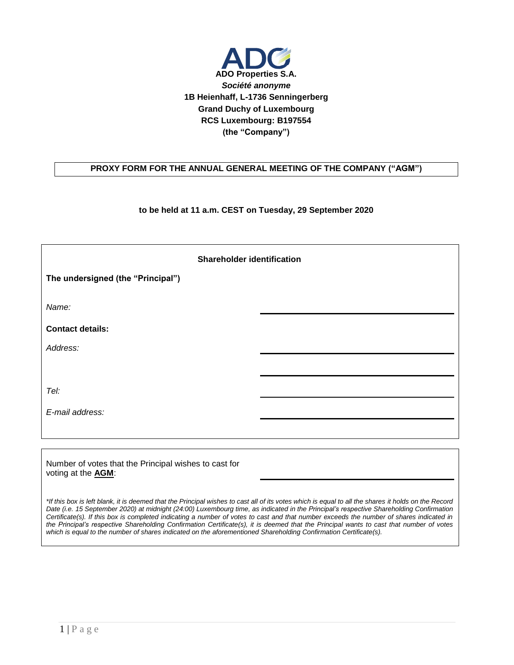

## **PROXY FORM FOR THE ANNUAL GENERAL MEETING OF THE COMPANY ("AGM")**

## **to be held at 11 a.m. CEST on Tuesday, 29 September 2020**

| <b>Shareholder identification</b> |  |  |  |
|-----------------------------------|--|--|--|
| The undersigned (the "Principal") |  |  |  |
| Name:                             |  |  |  |
| <b>Contact details:</b>           |  |  |  |
| Address:                          |  |  |  |
|                                   |  |  |  |
| Tel:                              |  |  |  |
| E-mail address:                   |  |  |  |
|                                   |  |  |  |

Number of votes that the Principal wishes to cast for voting at the **AGM**:

*\*If this box is left blank, it is deemed that the Principal wishes to cast all of its votes which is equal to all the shares it holds on the Record Date (i.e. 15 September 2020) at midnight (24:00) Luxembourg time, as indicated in the Principal's respective Shareholding Confirmation Certificate(s). If this box is completed indicating a number of votes to cast and that number exceeds the number of shares indicated in the Principal's respective Shareholding Confirmation Certificate(s), it is deemed that the Principal wants to cast that number of votes which is equal to the number of shares indicated on the aforementioned Shareholding Confirmation Certificate(s).*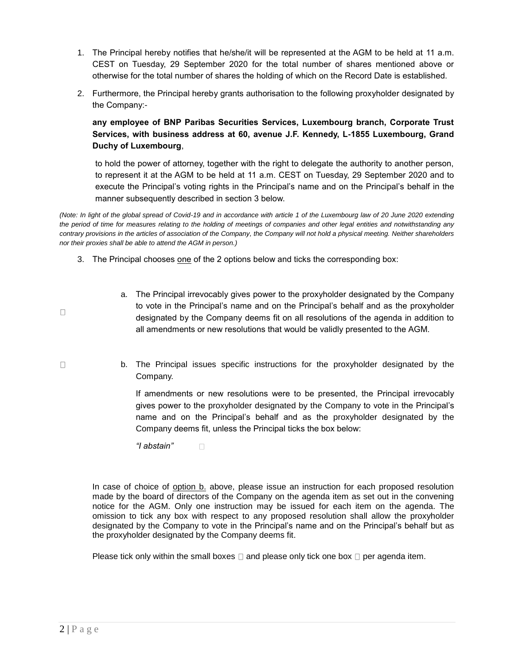- 1. The Principal hereby notifies that he/she/it will be represented at the AGM to be held at 11 a.m. CEST on Tuesday, 29 September 2020 for the total number of shares mentioned above or otherwise for the total number of shares the holding of which on the Record Date is established.
- 2. Furthermore, the Principal hereby grants authorisation to the following proxyholder designated by the Company:-

**any employee of BNP Paribas Securities Services, Luxembourg branch, Corporate Trust Services, with business address at 60, avenue J.F. Kennedy, L-1855 Luxembourg, Grand Duchy of Luxembourg**,

to hold the power of attorney, together with the right to delegate the authority to another person, to represent it at the AGM to be held at 11 a.m. CEST on Tuesday, 29 September 2020 and to execute the Principal's voting rights in the Principal's name and on the Principal's behalf in the manner subsequently described in section 3 below.

*(Note: In light of the global spread of Covid-19 and in accordance with article 1 of the Luxembourg law of 20 June 2020 extending the period of time for measures relating to the holding of meetings of companies and other legal entities and notwithstanding any contrary provisions in the articles of association of the Company, the Company will not hold a physical meeting. Neither shareholders nor their proxies shall be able to attend the AGM in person.)*

- 3. The Principal chooses one of the 2 options below and ticks the corresponding box:
	- a. The Principal irrevocably gives power to the proxyholder designated by the Company to vote in the Principal's name and on the Principal's behalf and as the proxyholder designated by the Company deems fit on all resolutions of the agenda in addition to all amendments or new resolutions that would be validly presented to the AGM.
	- b. The Principal issues specific instructions for the proxyholder designated by the Company.

If amendments or new resolutions were to be presented, the Principal irrevocably gives power to the proxyholder designated by the Company to vote in the Principal's name and on the Principal's behalf and as the proxyholder designated by the Company deems fit, unless the Principal ticks the box below:

*"I abstain"*   $\Box$ 

In case of choice of option b. above, please issue an instruction for each proposed resolution made by the board of directors of the Company on the agenda item as set out in the convening notice for the AGM. Only one instruction may be issued for each item on the agenda. The omission to tick any box with respect to any proposed resolution shall allow the proxyholder designated by the Company to vote in the Principal's name and on the Principal's behalf but as the proxyholder designated by the Company deems fit.

Please tick only within the small boxes  $\Box$  and please only tick one box  $\Box$  per agenda item.

 $\Box$ 

 $\Box$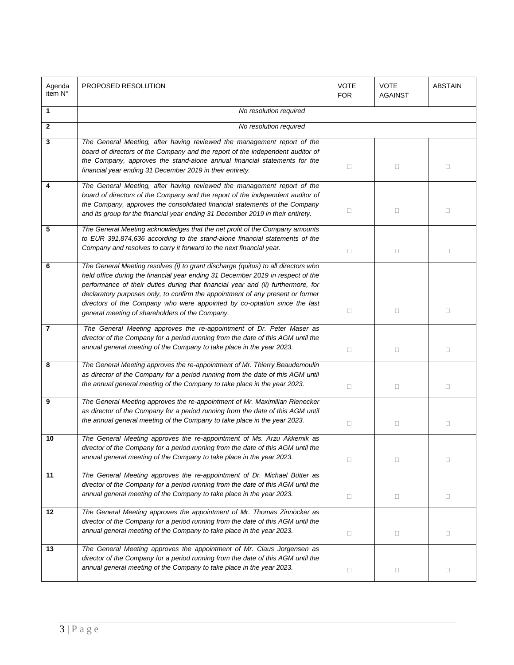| Agenda<br>item N° | PROPOSED RESOLUTION                                                                                                                                                                                                                                                                                                                                                                                                                                                        | <b>VOTE</b><br><b>FOR</b> | <b>VOTE</b><br><b>AGAINST</b> | <b>ABSTAIN</b> |
|-------------------|----------------------------------------------------------------------------------------------------------------------------------------------------------------------------------------------------------------------------------------------------------------------------------------------------------------------------------------------------------------------------------------------------------------------------------------------------------------------------|---------------------------|-------------------------------|----------------|
| 1                 | No resolution required                                                                                                                                                                                                                                                                                                                                                                                                                                                     |                           |                               |                |
| $\mathbf{2}$      | No resolution required                                                                                                                                                                                                                                                                                                                                                                                                                                                     |                           |                               |                |
| 3                 | The General Meeting, after having reviewed the management report of the<br>board of directors of the Company and the report of the independent auditor of<br>the Company, approves the stand-alone annual financial statements for the<br>financial year ending 31 December 2019 in their entirety.                                                                                                                                                                        | $\Box$                    | $\Box$                        | $\Box$         |
| 4                 | The General Meeting, after having reviewed the management report of the<br>board of directors of the Company and the report of the independent auditor of<br>the Company, approves the consolidated financial statements of the Company<br>and its group for the financial year ending 31 December 2019 in their entirety.                                                                                                                                                 | $\Box$                    | 0                             | $\Box$         |
| 5                 | The General Meeting acknowledges that the net profit of the Company amounts<br>to EUR 391,874,636 according to the stand-alone financial statements of the<br>Company and resolves to carry it forward to the next financial year.                                                                                                                                                                                                                                         | $\Box$                    | $\Box$                        | $\Box$         |
| 6                 | The General Meeting resolves (i) to grant discharge (quitus) to all directors who<br>held office during the financial year ending 31 December 2019 in respect of the<br>performance of their duties during that financial year and (ii) furthermore, for<br>declaratory purposes only, to confirm the appointment of any present or former<br>directors of the Company who were appointed by co-optation since the last<br>general meeting of shareholders of the Company. | $\Box$                    | 0                             | $\Box$         |
| 7                 | The General Meeting approves the re-appointment of Dr. Peter Maser as<br>director of the Company for a period running from the date of this AGM until the<br>annual general meeting of the Company to take place in the year 2023.                                                                                                                                                                                                                                         | $\Box$                    | $\Box$                        | $\Box$         |
| 8                 | The General Meeting approves the re-appointment of Mr. Thierry Beaudemoulin<br>as director of the Company for a period running from the date of this AGM until<br>the annual general meeting of the Company to take place in the year 2023.                                                                                                                                                                                                                                | $\Box$                    | $\Box$                        | $\Box$         |
| 9                 | The General Meeting approves the re-appointment of Mr. Maximilian Rienecker<br>as director of the Company for a period running from the date of this AGM until<br>the annual general meeting of the Company to take place in the year 2023.                                                                                                                                                                                                                                | $\Box$                    | $\Box$                        | $\Box$         |
| 10                | The General Meeting approves the re-appointment of Ms. Arzu Akkemik as<br>director of the Company for a period running from the date of this AGM until the<br>annual general meeting of the Company to take place in the year 2023.                                                                                                                                                                                                                                        | 0                         | $\Box$                        | $\Box$         |
| 11                | The General Meeting approves the re-appointment of Dr. Michael Bütter as<br>director of the Company for a period running from the date of this AGM until the<br>annual general meeting of the Company to take place in the year 2023.                                                                                                                                                                                                                                      | $\Box$                    | $\Box$                        | $\Box$         |
| 12                | The General Meeting approves the appointment of Mr. Thomas Zinnöcker as<br>director of the Company for a period running from the date of this AGM until the<br>annual general meeting of the Company to take place in the year 2023.                                                                                                                                                                                                                                       | $\Box$                    | $\Box$                        | $\Box$         |
| 13                | The General Meeting approves the appointment of Mr. Claus Jorgensen as<br>director of the Company for a period running from the date of this AGM until the<br>annual general meeting of the Company to take place in the year 2023.                                                                                                                                                                                                                                        | $\Box$                    | 0                             | $\Box$         |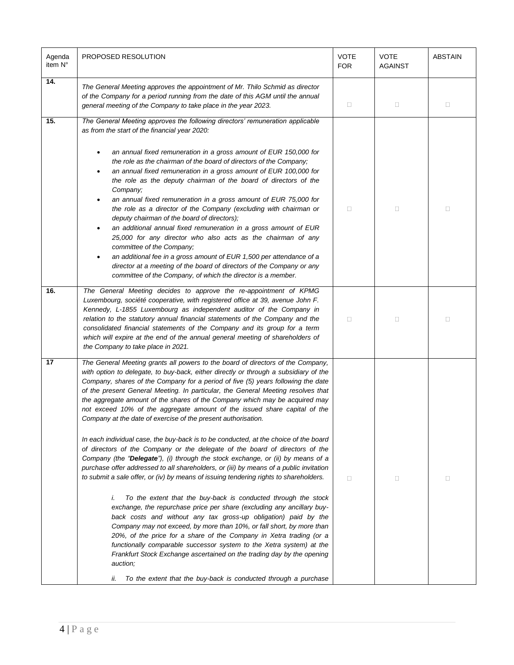| Agenda<br>item N° | PROPOSED RESOLUTION                                                                                                                                                                                                                                                                                                                                                                                                                                                                                                                                                                                                                                                                                                                                                                                                                                                                                                                                                                                                                                                                                                                                                                                                                                                                                                                                                                                                                                                                                                                                                                                                                     |        | <b>VOTE</b><br><b>AGAINST</b> | <b>ABSTAIN</b> |
|-------------------|-----------------------------------------------------------------------------------------------------------------------------------------------------------------------------------------------------------------------------------------------------------------------------------------------------------------------------------------------------------------------------------------------------------------------------------------------------------------------------------------------------------------------------------------------------------------------------------------------------------------------------------------------------------------------------------------------------------------------------------------------------------------------------------------------------------------------------------------------------------------------------------------------------------------------------------------------------------------------------------------------------------------------------------------------------------------------------------------------------------------------------------------------------------------------------------------------------------------------------------------------------------------------------------------------------------------------------------------------------------------------------------------------------------------------------------------------------------------------------------------------------------------------------------------------------------------------------------------------------------------------------------------|--------|-------------------------------|----------------|
| 14.               | The General Meeting approves the appointment of Mr. Thilo Schmid as director<br>of the Company for a period running from the date of this AGM until the annual<br>general meeting of the Company to take place in the year 2023.                                                                                                                                                                                                                                                                                                                                                                                                                                                                                                                                                                                                                                                                                                                                                                                                                                                                                                                                                                                                                                                                                                                                                                                                                                                                                                                                                                                                        |        | $\Box$                        | $\Box$         |
| 15.               | The General Meeting approves the following directors' remuneration applicable<br>as from the start of the financial year 2020:<br>an annual fixed remuneration in a gross amount of EUR 150,000 for<br>the role as the chairman of the board of directors of the Company;<br>an annual fixed remuneration in a gross amount of EUR 100,000 for<br>the role as the deputy chairman of the board of directors of the<br>Company;<br>an annual fixed remuneration in a gross amount of EUR 75,000 for<br>the role as a director of the Company (excluding with chairman or<br>deputy chairman of the board of directors);<br>an additional annual fixed remuneration in a gross amount of EUR<br>25,000 for any director who also acts as the chairman of any<br>committee of the Company;<br>an additional fee in a gross amount of EUR 1,500 per attendance of a<br>director at a meeting of the board of directors of the Company or any<br>committee of the Company, of which the director is a member.                                                                                                                                                                                                                                                                                                                                                                                                                                                                                                                                                                                                                                | $\Box$ | $\Box$                        | $\Box$         |
| 16.               | The General Meeting decides to approve the re-appointment of KPMG<br>Luxembourg, société cooperative, with registered office at 39, avenue John F.<br>Kennedy, L-1855 Luxembourg as independent auditor of the Company in<br>relation to the statutory annual financial statements of the Company and the<br>consolidated financial statements of the Company and its group for a term<br>which will expire at the end of the annual general meeting of shareholders of<br>the Company to take place in 2021.                                                                                                                                                                                                                                                                                                                                                                                                                                                                                                                                                                                                                                                                                                                                                                                                                                                                                                                                                                                                                                                                                                                           | $\Box$ | $\Box$                        | $\Box$         |
| 17                | The General Meeting grants all powers to the board of directors of the Company,<br>with option to delegate, to buy-back, either directly or through a subsidiary of the<br>Company, shares of the Company for a period of five (5) years following the date<br>of the present General Meeting. In particular, the General Meeting resolves that<br>the aggregate amount of the shares of the Company which may be acquired may<br>not exceed 10% of the aggregate amount of the issued share capital of the<br>Company at the date of exercise of the present authorisation.<br>In each individual case, the buy-back is to be conducted, at the choice of the board<br>of directors of the Company or the delegate of the board of directors of the<br>Company (the "Delegate"), (i) through the stock exchange, or (ii) by means of a<br>purchase offer addressed to all shareholders, or (iii) by means of a public invitation<br>to submit a sale offer, or (iv) by means of issuing tendering rights to shareholders.<br>To the extent that the buy-back is conducted through the stock<br>i.<br>exchange, the repurchase price per share (excluding any ancillary buy-<br>back costs and without any tax gross-up obligation) paid by the<br>Company may not exceed, by more than 10%, or fall short, by more than<br>20%, of the price for a share of the Company in Xetra trading (or a<br>functionally comparable successor system to the Xetra system) at the<br>Frankfurt Stock Exchange ascertained on the trading day by the opening<br>auction;<br>To the extent that the buy-back is conducted through a purchase<br>ii. | 0      | $\Box$                        | $\Box$         |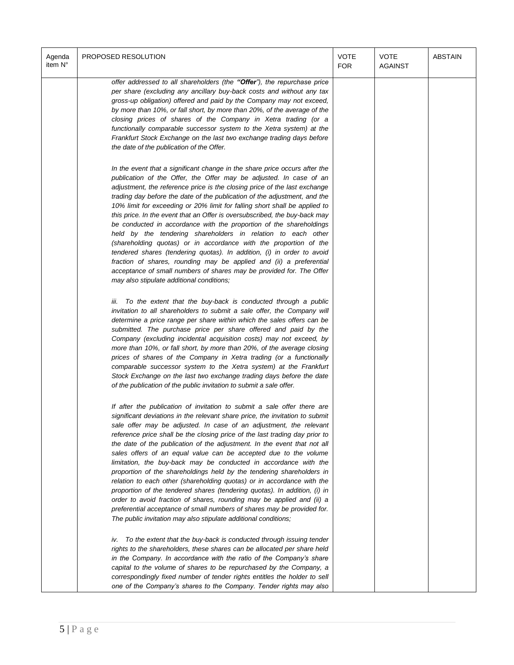| Agenda<br>item N° | PROPOSED RESOLUTION                                                                                                                                                                                                                                                                                                                                                                                                                                                                                                                                                                                                                                                                                                                                                                                                                                                                                                                                                                     | <b>VOTE</b><br><b>FOR</b> | <b>VOTE</b><br><b>AGAINST</b> | <b>ABSTAIN</b> |
|-------------------|-----------------------------------------------------------------------------------------------------------------------------------------------------------------------------------------------------------------------------------------------------------------------------------------------------------------------------------------------------------------------------------------------------------------------------------------------------------------------------------------------------------------------------------------------------------------------------------------------------------------------------------------------------------------------------------------------------------------------------------------------------------------------------------------------------------------------------------------------------------------------------------------------------------------------------------------------------------------------------------------|---------------------------|-------------------------------|----------------|
|                   | offer addressed to all shareholders (the "Offer"), the repurchase price<br>per share (excluding any ancillary buy-back costs and without any tax<br>gross-up obligation) offered and paid by the Company may not exceed,<br>by more than 10%, or fall short, by more than 20%, of the average of the<br>closing prices of shares of the Company in Xetra trading (or a<br>functionally comparable successor system to the Xetra system) at the<br>Frankfurt Stock Exchange on the last two exchange trading days before<br>the date of the publication of the Offer.                                                                                                                                                                                                                                                                                                                                                                                                                    |                           |                               |                |
|                   | In the event that a significant change in the share price occurs after the<br>publication of the Offer, the Offer may be adjusted. In case of an<br>adjustment, the reference price is the closing price of the last exchange<br>trading day before the date of the publication of the adjustment, and the<br>10% limit for exceeding or 20% limit for falling short shall be applied to<br>this price. In the event that an Offer is oversubscribed, the buy-back may<br>be conducted in accordance with the proportion of the shareholdings<br>held by the tendering shareholders in relation to each other<br>(shareholding quotas) or in accordance with the proportion of the<br>tendered shares (tendering quotas). In addition, (i) in order to avoid<br>fraction of shares, rounding may be applied and (ii) a preferential<br>acceptance of small numbers of shares may be provided for. The Offer<br>may also stipulate additional conditions;                                |                           |                               |                |
|                   | iii. To the extent that the buy-back is conducted through a public<br>invitation to all shareholders to submit a sale offer, the Company will<br>determine a price range per share within which the sales offers can be<br>submitted. The purchase price per share offered and paid by the<br>Company (excluding incidental acquisition costs) may not exceed, by<br>more than 10%, or fall short, by more than 20%, of the average closing<br>prices of shares of the Company in Xetra trading (or a functionally<br>comparable successor system to the Xetra system) at the Frankfurt<br>Stock Exchange on the last two exchange trading days before the date<br>of the publication of the public invitation to submit a sale offer.                                                                                                                                                                                                                                                  |                           |                               |                |
|                   | If after the publication of invitation to submit a sale offer there are<br>significant deviations in the relevant share price, the invitation to submit<br>sale offer may be adjusted. In case of an adjustment, the relevant<br>reference price shall be the closing price of the last trading day prior to<br>the date of the publication of the adjustment. In the event that not all<br>sales offers of an equal value can be accepted due to the volume<br>limitation, the buy-back may be conducted in accordance with the<br>proportion of the shareholdings held by the tendering shareholders in<br>relation to each other (shareholding quotas) or in accordance with the<br>proportion of the tendered shares (tendering quotas). In addition, (i) in<br>order to avoid fraction of shares, rounding may be applied and (ii) a<br>preferential acceptance of small numbers of shares may be provided for.<br>The public invitation may also stipulate additional conditions; |                           |                               |                |
|                   | To the extent that the buy-back is conducted through issuing tender<br>iv.<br>rights to the shareholders, these shares can be allocated per share held<br>in the Company. In accordance with the ratio of the Company's share<br>capital to the volume of shares to be repurchased by the Company, a<br>correspondingly fixed number of tender rights entitles the holder to sell<br>one of the Company's shares to the Company. Tender rights may also                                                                                                                                                                                                                                                                                                                                                                                                                                                                                                                                 |                           |                               |                |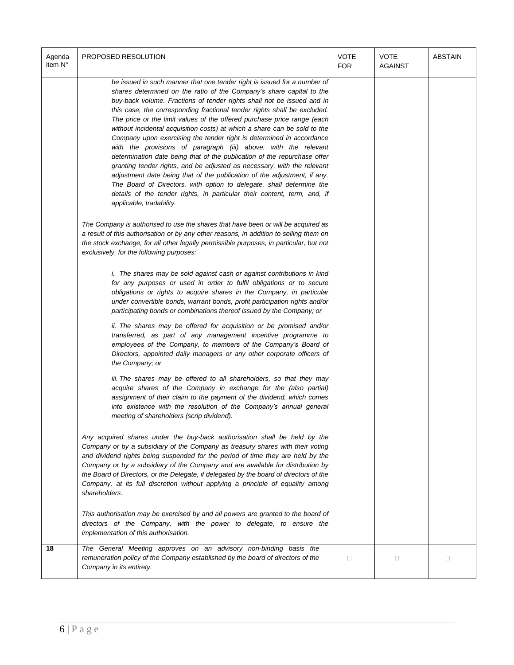| Agenda<br>item N° | PROPOSED RESOLUTION                                                                                                                                                                                                                                                                                                                                                                                                                                                                                                                                                                                                                                                                                                                                                                                                                                                                                                                                                                                                          | <b>VOTE</b><br><b>FOR</b> | <b>VOTE</b><br><b>AGAINST</b> | <b>ABSTAIN</b> |
|-------------------|------------------------------------------------------------------------------------------------------------------------------------------------------------------------------------------------------------------------------------------------------------------------------------------------------------------------------------------------------------------------------------------------------------------------------------------------------------------------------------------------------------------------------------------------------------------------------------------------------------------------------------------------------------------------------------------------------------------------------------------------------------------------------------------------------------------------------------------------------------------------------------------------------------------------------------------------------------------------------------------------------------------------------|---------------------------|-------------------------------|----------------|
|                   | be issued in such manner that one tender right is issued for a number of<br>shares determined on the ratio of the Company's share capital to the<br>buy-back volume. Fractions of tender rights shall not be issued and in<br>this case, the corresponding fractional tender rights shall be excluded.<br>The price or the limit values of the offered purchase price range (each<br>without incidental acquisition costs) at which a share can be sold to the<br>Company upon exercising the tender right is determined in accordance<br>with the provisions of paragraph (iii) above, with the relevant<br>determination date being that of the publication of the repurchase offer<br>granting tender rights, and be adjusted as necessary, with the relevant<br>adjustment date being that of the publication of the adjustment, if any.<br>The Board of Directors, with option to delegate, shall determine the<br>details of the tender rights, in particular their content, term, and, if<br>applicable, tradability. |                           |                               |                |
|                   | The Company is authorised to use the shares that have been or will be acquired as<br>a result of this authorisation or by any other reasons, in addition to selling them on<br>the stock exchange, for all other legally permissible purposes, in particular, but not<br>exclusively, for the following purposes:                                                                                                                                                                                                                                                                                                                                                                                                                                                                                                                                                                                                                                                                                                            |                           |                               |                |
|                   | <i>i.</i> The shares may be sold against cash or against contributions in kind<br>for any purposes or used in order to fulfil obligations or to secure<br>obligations or rights to acquire shares in the Company, in particular<br>under convertible bonds, warrant bonds, profit participation rights and/or<br>participating bonds or combinations thereof issued by the Company; or                                                                                                                                                                                                                                                                                                                                                                                                                                                                                                                                                                                                                                       |                           |                               |                |
|                   | ii. The shares may be offered for acquisition or be promised and/or<br>transferred, as part of any management incentive programme to<br>employees of the Company, to members of the Company's Board of<br>Directors, appointed daily managers or any other corporate officers of<br>the Company; or                                                                                                                                                                                                                                                                                                                                                                                                                                                                                                                                                                                                                                                                                                                          |                           |                               |                |
|                   | iii. The shares may be offered to all shareholders, so that they may<br>acquire shares of the Company in exchange for the (also partial)<br>assignment of their claim to the payment of the dividend, which comes<br>into existence with the resolution of the Company's annual general<br>meeting of shareholders (scrip dividend).                                                                                                                                                                                                                                                                                                                                                                                                                                                                                                                                                                                                                                                                                         |                           |                               |                |
|                   | Any acquired shares under the buy-back authorisation shall be held by the<br>Company or by a subsidiary of the Company as treasury shares with their voting<br>and dividend rights being suspended for the period of time they are held by the<br>Company or by a subsidiary of the Company and are available for distribution by<br>the Board of Directors, or the Delegate, if delegated by the board of directors of the<br>Company, at its full discretion without applying a principle of equality among<br>shareholders.                                                                                                                                                                                                                                                                                                                                                                                                                                                                                               |                           |                               |                |
|                   | This authorisation may be exercised by and all powers are granted to the board of<br>directors of the Company, with the power to delegate, to ensure the<br>implementation of this authorisation.                                                                                                                                                                                                                                                                                                                                                                                                                                                                                                                                                                                                                                                                                                                                                                                                                            |                           |                               |                |
| 18                | The General Meeting approves on an advisory non-binding basis the<br>remuneration policy of the Company established by the board of directors of the<br>Company in its entirety.                                                                                                                                                                                                                                                                                                                                                                                                                                                                                                                                                                                                                                                                                                                                                                                                                                             | 0                         | П.                            | П              |